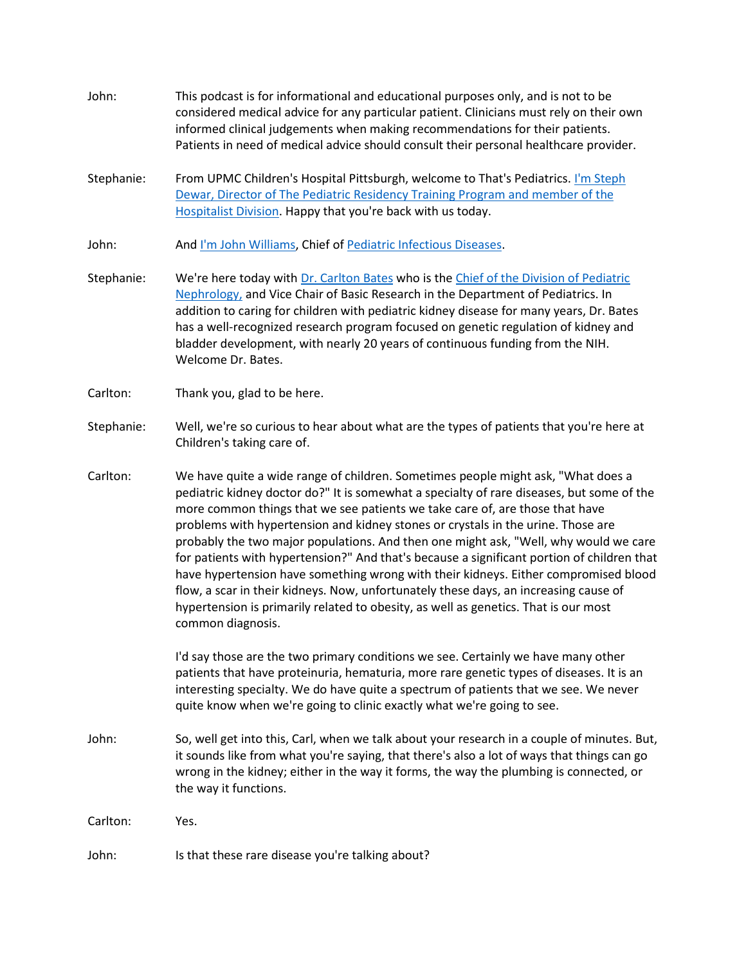- John: This podcast is for informational and educational purposes only, and is not to be considered medical advice for any particular patient. Clinicians must rely on their own informed clinical judgements when making recommendations for their patients. Patients in need of medical advice should consult their personal healthcare provider.
- Stephanie: From UPMC Children's Hospital Pittsburgh, welcome to That's Pediatrics. I'm Steph Dewar, Director of [The Pediatric Residency Training Program and member of the](http://www.chp.edu/find-a-doctor/service-providers/stephanie-dewar-89310) [Hospitalist Division.](http://www.chp.edu/find-a-doctor/service-providers/stephanie-dewar-89310) Happy that you're back with us today.
- John: And [I'm John Williams,](http://www.chp.edu/find-a-doctor/service-providers/john-williams-206878) Chief of [Pediatric Infectious Diseases.](http://www.chp.edu/our-services/infectious-diseases)
- Stephanie: We're here today with [Dr. Carlton Bates](http://www.chp.edu/find-a-doctor/service-providers/carlton-bates-116384) who is the Chief of the Division of Pediatric [Nephrology,](http://www.chp.edu/our-services/nephrology) and Vice Chair of Basic Research in the Department of Pediatrics. In addition to caring for children with pediatric kidney disease for many years, Dr. Bates has a well-recognized research program focused on genetic regulation of kidney and bladder development, with nearly 20 years of continuous funding from the NIH. Welcome Dr. Bates.
- Carlton: Thank you, glad to be here.
- Stephanie: Well, we're so curious to hear about what are the types of patients that you're here at Children's taking care of.
- Carlton: We have quite a wide range of children. Sometimes people might ask, "What does a pediatric kidney doctor do?" It is somewhat a specialty of rare diseases, but some of the more common things that we see patients we take care of, are those that have problems with hypertension and kidney stones or crystals in the urine. Those are probably the two major populations. And then one might ask, "Well, why would we care for patients with hypertension?" And that's because a significant portion of children that have hypertension have something wrong with their kidneys. Either compromised blood flow, a scar in their kidneys. Now, unfortunately these days, an increasing cause of hypertension is primarily related to obesity, as well as genetics. That is our most common diagnosis.

I'd say those are the two primary conditions we see. Certainly we have many other patients that have proteinuria, hematuria, more rare genetic types of diseases. It is an interesting specialty. We do have quite a spectrum of patients that we see. We never quite know when we're going to clinic exactly what we're going to see.

John: So, well get into this, Carl, when we talk about your research in a couple of minutes. But, it sounds like from what you're saying, that there's also a lot of ways that things can go wrong in the kidney; either in the way it forms, the way the plumbing is connected, or the way it functions.

Carlton: Yes.

John: Is that these rare disease you're talking about?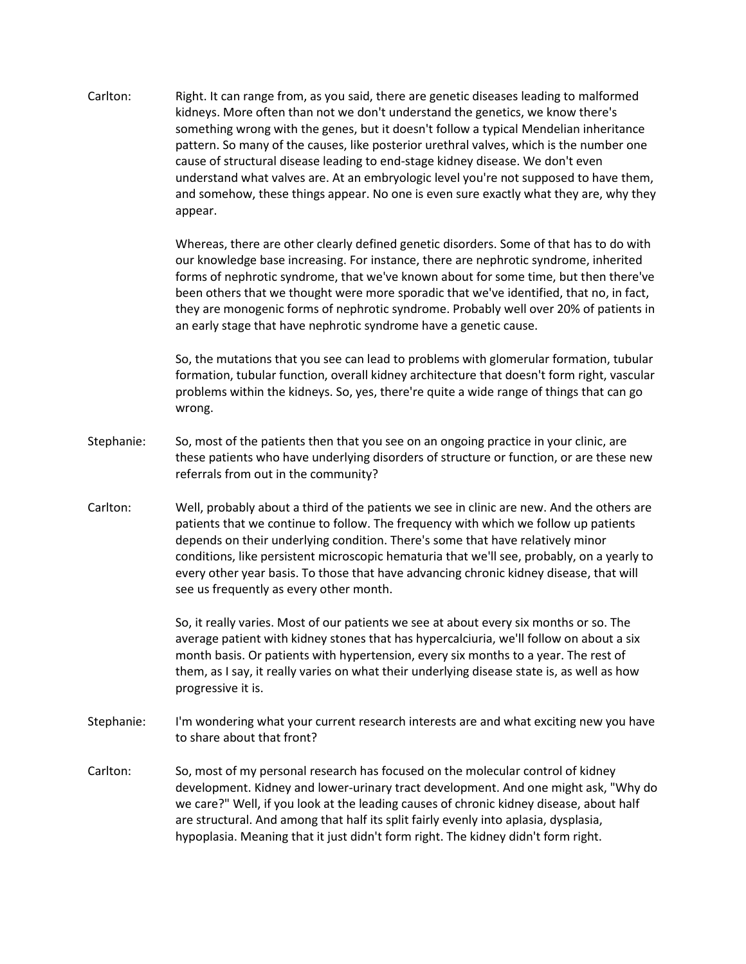Carlton: Right. It can range from, as you said, there are genetic diseases leading to malformed kidneys. More often than not we don't understand the genetics, we know there's something wrong with the genes, but it doesn't follow a typical Mendelian inheritance pattern. So many of the causes, like posterior urethral valves, which is the number one cause of structural disease leading to end-stage kidney disease. We don't even understand what valves are. At an embryologic level you're not supposed to have them, and somehow, these things appear. No one is even sure exactly what they are, why they appear.

> Whereas, there are other clearly defined genetic disorders. Some of that has to do with our knowledge base increasing. For instance, there are nephrotic syndrome, inherited forms of nephrotic syndrome, that we've known about for some time, but then there've been others that we thought were more sporadic that we've identified, that no, in fact, they are monogenic forms of nephrotic syndrome. Probably well over 20% of patients in an early stage that have nephrotic syndrome have a genetic cause.

> So, the mutations that you see can lead to problems with glomerular formation, tubular formation, tubular function, overall kidney architecture that doesn't form right, vascular problems within the kidneys. So, yes, there're quite a wide range of things that can go wrong.

- Stephanie: So, most of the patients then that you see on an ongoing practice in your clinic, are these patients who have underlying disorders of structure or function, or are these new referrals from out in the community?
- Carlton: Well, probably about a third of the patients we see in clinic are new. And the others are patients that we continue to follow. The frequency with which we follow up patients depends on their underlying condition. There's some that have relatively minor conditions, like persistent microscopic hematuria that we'll see, probably, on a yearly to every other year basis. To those that have advancing chronic kidney disease, that will see us frequently as every other month.

So, it really varies. Most of our patients we see at about every six months or so. The average patient with kidney stones that has hypercalciuria, we'll follow on about a six month basis. Or patients with hypertension, every six months to a year. The rest of them, as I say, it really varies on what their underlying disease state is, as well as how progressive it is.

- Stephanie: I'm wondering what your current research interests are and what exciting new you have to share about that front?
- Carlton: So, most of my personal research has focused on the molecular control of kidney development. Kidney and lower-urinary tract development. And one might ask, "Why do we care?" Well, if you look at the leading causes of chronic kidney disease, about half are structural. And among that half its split fairly evenly into aplasia, dysplasia, hypoplasia. Meaning that it just didn't form right. The kidney didn't form right.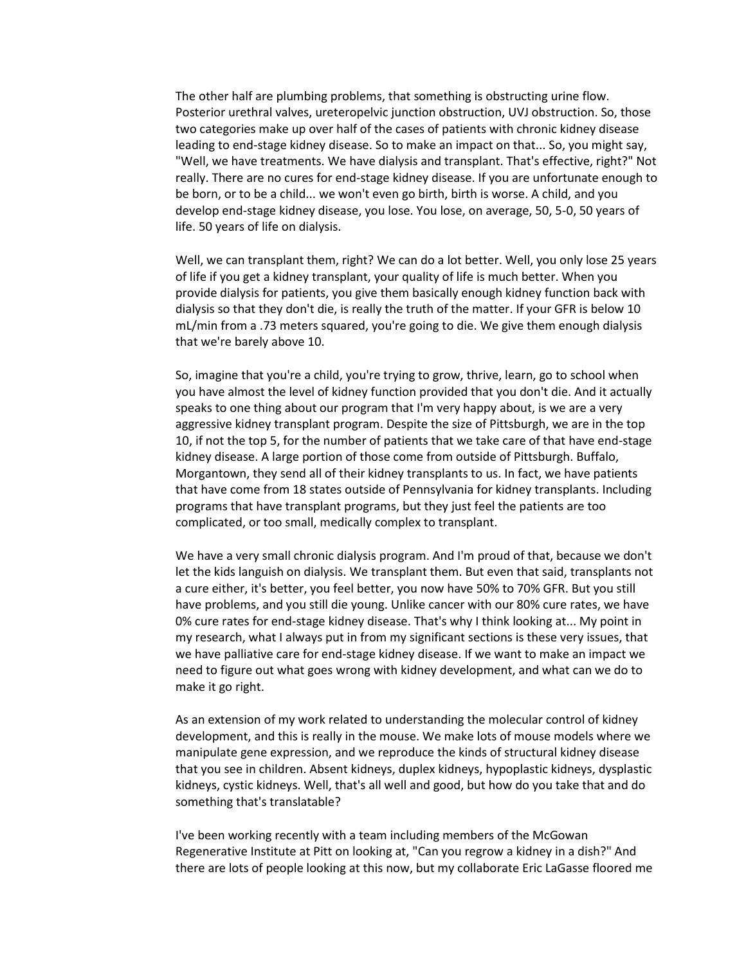The other half are plumbing problems, that something is obstructing urine flow. Posterior urethral valves, ureteropelvic junction obstruction, UVJ obstruction. So, those two categories make up over half of the cases of patients with chronic kidney disease leading to end-stage kidney disease. So to make an impact on that... So, you might say, "Well, we have treatments. We have dialysis and transplant. That's effective, right?" Not really. There are no cures for end-stage kidney disease. If you are unfortunate enough to be born, or to be a child... we won't even go birth, birth is worse. A child, and you develop end-stage kidney disease, you lose. You lose, on average, 50, 5-0, 50 years of life. 50 years of life on dialysis.

Well, we can transplant them, right? We can do a lot better. Well, you only lose 25 years of life if you get a kidney transplant, your quality of life is much better. When you provide dialysis for patients, you give them basically enough kidney function back with dialysis so that they don't die, is really the truth of the matter. If your GFR is below 10 mL/min from a .73 meters squared, you're going to die. We give them enough dialysis that we're barely above 10.

So, imagine that you're a child, you're trying to grow, thrive, learn, go to school when you have almost the level of kidney function provided that you don't die. And it actually speaks to one thing about our program that I'm very happy about, is we are a very aggressive kidney transplant program. Despite the size of Pittsburgh, we are in the top 10, if not the top 5, for the number of patients that we take care of that have end-stage kidney disease. A large portion of those come from outside of Pittsburgh. Buffalo, Morgantown, they send all of their kidney transplants to us. In fact, we have patients that have come from 18 states outside of Pennsylvania for kidney transplants. Including programs that have transplant programs, but they just feel the patients are too complicated, or too small, medically complex to transplant.

We have a very small chronic dialysis program. And I'm proud of that, because we don't let the kids languish on dialysis. We transplant them. But even that said, transplants not a cure either, it's better, you feel better, you now have 50% to 70% GFR. But you still have problems, and you still die young. Unlike cancer with our 80% cure rates, we have 0% cure rates for end-stage kidney disease. That's why I think looking at... My point in my research, what I always put in from my significant sections is these very issues, that we have palliative care for end-stage kidney disease. If we want to make an impact we need to figure out what goes wrong with kidney development, and what can we do to make it go right.

As an extension of my work related to understanding the molecular control of kidney development, and this is really in the mouse. We make lots of mouse models where we manipulate gene expression, and we reproduce the kinds of structural kidney disease that you see in children. Absent kidneys, duplex kidneys, hypoplastic kidneys, dysplastic kidneys, cystic kidneys. Well, that's all well and good, but how do you take that and do something that's translatable?

I've been working recently with a team including members of the McGowan Regenerative Institute at Pitt on looking at, "Can you regrow a kidney in a dish?" And there are lots of people looking at this now, but my collaborate Eric LaGasse floored me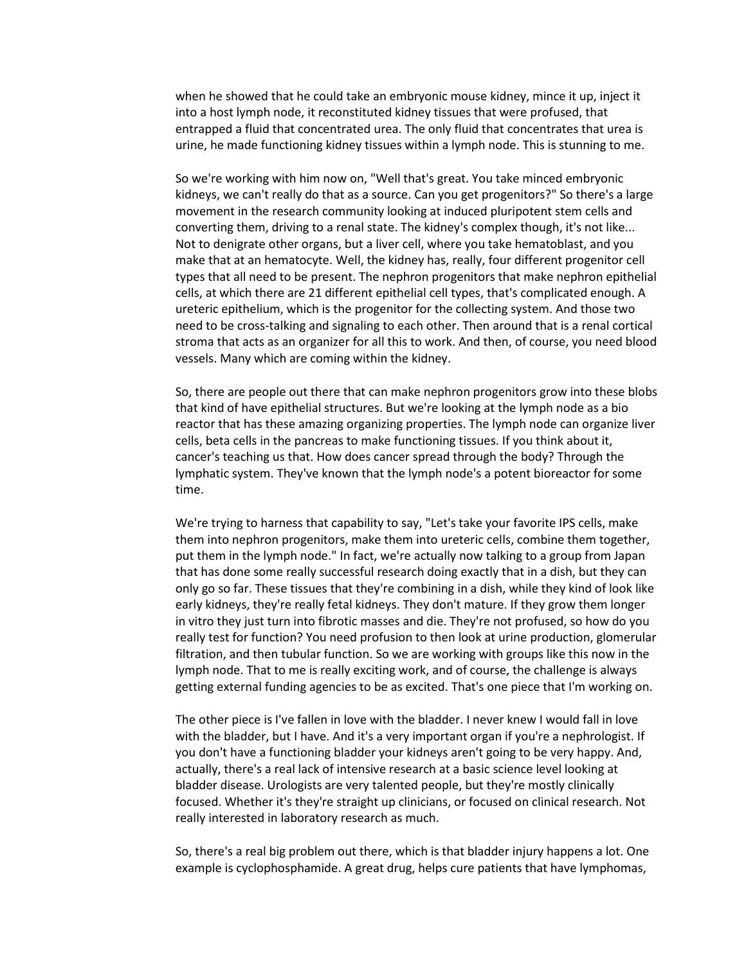when he showed that he could take an embryonic mouse kidney, mince it up, inject it into a host lymph node, it reconstituted kidney tissues that were profused, that entrapped a fluid that concentrated urea. The only fluid that concentrates that urea is urine, he made functioning kidney tissues within a lymph node. This is stunning to me.

So we're working with him now on, "Well that's great. You take minced embryonic kidneys, we can't really do that as a source. Can you get progenitors?" So there's a large movement in the research community looking at induced pluripotent stem cells and converting them, driving to a renal state. The kidney's complex though, it's not like... Not to denigrate other organs, but a liver cell, where you take hematoblast, and you make that at an hematocyte. Well, the kidney has, really, four different progenitor cell types that all need to be present. The nephron progenitors that make nephron epithelial cells, at which there are 21 different epithelial cell types, that's complicated enough. A ureteric epithelium, which is the progenitor for the collecting system. And those two need to be cross-talking and signaling to each other. Then around that is a renal cortical stroma that acts as an organizer for all this to work. And then, of course, you need blood vessels. Many which are coming within the kidney.

So, there are people out there that can make nephron progenitors grow into these blobs that kind of have epithelial structures. But we're looking at the lymph node as a bio reactor that has these amazing organizing properties. The lymph node can organize liver cells, beta cells in the pancreas to make functioning tissues. If you think about it, cancer's teaching us that. How does cancer spread through the body? Through the lymphatic system. They've known that the lymph node's a potent bioreactor for some time.

We're trying to harness that capability to say, "Let's take your favorite IPS cells, make them into nephron progenitors, make them into ureteric cells, combine them together, put them in the lymph node." In fact, we're actually now talking to a group from Japan that has done some really successful research doing exactly that in a dish, but they can only go so far. These tissues that they're combining in a dish, while they kind of look like early kidneys, they're really fetal kidneys. They don't mature. If they grow them longer in vitro they just turn into fibrotic masses and die. They're not profused, so how do you really test for function? You need profusion to then look at urine production, glomerular filtration, and then tubular function. So we are working with groups like this now in the lymph node. That to me is really exciting work, and of course, the challenge is always getting external funding agencies to be as excited. That's one piece that I'm working on.

The other piece is I've fallen in love with the bladder. I never knew I would fall in love with the bladder, but I have. And it's a very important organ if you're a nephrologist. If you don't have a functioning bladder your kidneys aren't going to be very happy. And, actually, there's a real lack of intensive research at a basic science level looking at bladder disease. Urologists are very talented people, but they're mostly clinically focused. Whether it's they're straight up clinicians, or focused on clinical research. Not really interested in laboratory research as much.

So, there's a real big problem out there, which is that bladder injury happens a lot. One example is cyclophosphamide. A great drug, helps cure patients that have lymphomas,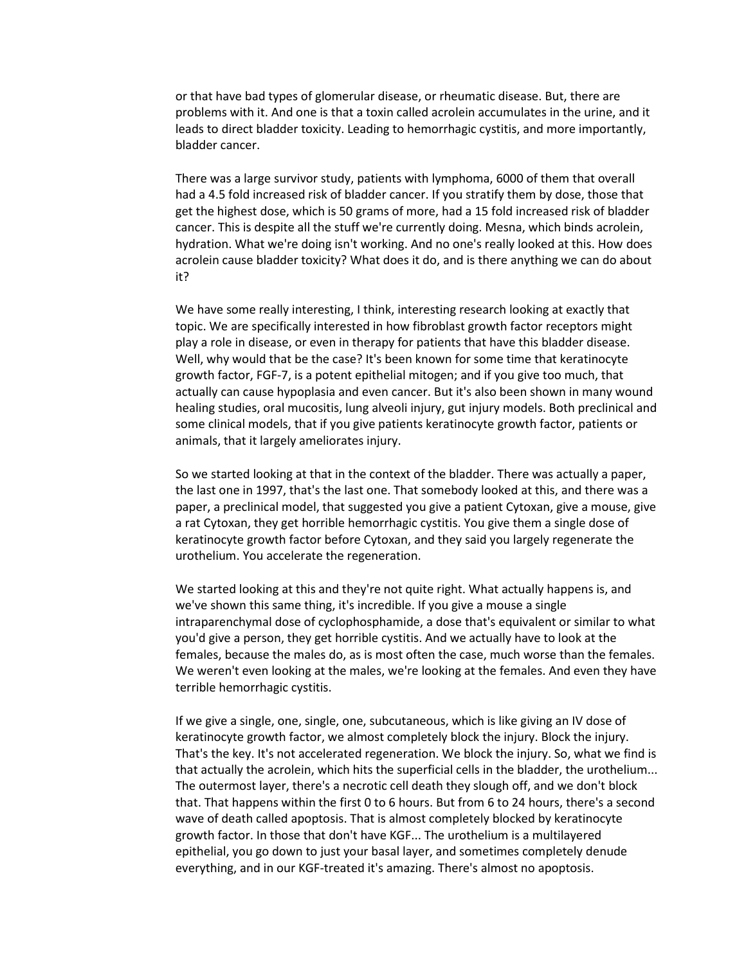or that have bad types of glomerular disease, or rheumatic disease. But, there are problems with it. And one is that a toxin called acrolein accumulates in the urine, and it leads to direct bladder toxicity. Leading to hemorrhagic cystitis, and more importantly, bladder cancer.

There was a large survivor study, patients with lymphoma, 6000 of them that overall had a 4.5 fold increased risk of bladder cancer. If you stratify them by dose, those that get the highest dose, which is 50 grams of more, had a 15 fold increased risk of bladder cancer. This is despite all the stuff we're currently doing. Mesna, which binds acrolein, hydration. What we're doing isn't working. And no one's really looked at this. How does acrolein cause bladder toxicity? What does it do, and is there anything we can do about it?

We have some really interesting, I think, interesting research looking at exactly that topic. We are specifically interested in how fibroblast growth factor receptors might play a role in disease, or even in therapy for patients that have this bladder disease. Well, why would that be the case? It's been known for some time that keratinocyte growth factor, FGF-7, is a potent epithelial mitogen; and if you give too much, that actually can cause hypoplasia and even cancer. But it's also been shown in many wound healing studies, oral mucositis, lung alveoli injury, gut injury models. Both preclinical and some clinical models, that if you give patients keratinocyte growth factor, patients or animals, that it largely ameliorates injury.

So we started looking at that in the context of the bladder. There was actually a paper, the last one in 1997, that's the last one. That somebody looked at this, and there was a paper, a preclinical model, that suggested you give a patient Cytoxan, give a mouse, give a rat Cytoxan, they get horrible hemorrhagic cystitis. You give them a single dose of keratinocyte growth factor before Cytoxan, and they said you largely regenerate the urothelium. You accelerate the regeneration.

We started looking at this and they're not quite right. What actually happens is, and we've shown this same thing, it's incredible. If you give a mouse a single intraparenchymal dose of cyclophosphamide, a dose that's equivalent or similar to what you'd give a person, they get horrible cystitis. And we actually have to look at the females, because the males do, as is most often the case, much worse than the females. We weren't even looking at the males, we're looking at the females. And even they have terrible hemorrhagic cystitis.

If we give a single, one, single, one, subcutaneous, which is like giving an IV dose of keratinocyte growth factor, we almost completely block the injury. Block the injury. That's the key. It's not accelerated regeneration. We block the injury. So, what we find is that actually the acrolein, which hits the superficial cells in the bladder, the urothelium... The outermost layer, there's a necrotic cell death they slough off, and we don't block that. That happens within the first 0 to 6 hours. But from 6 to 24 hours, there's a second wave of death called apoptosis. That is almost completely blocked by keratinocyte growth factor. In those that don't have KGF... The urothelium is a multilayered epithelial, you go down to just your basal layer, and sometimes completely denude everything, and in our KGF-treated it's amazing. There's almost no apoptosis.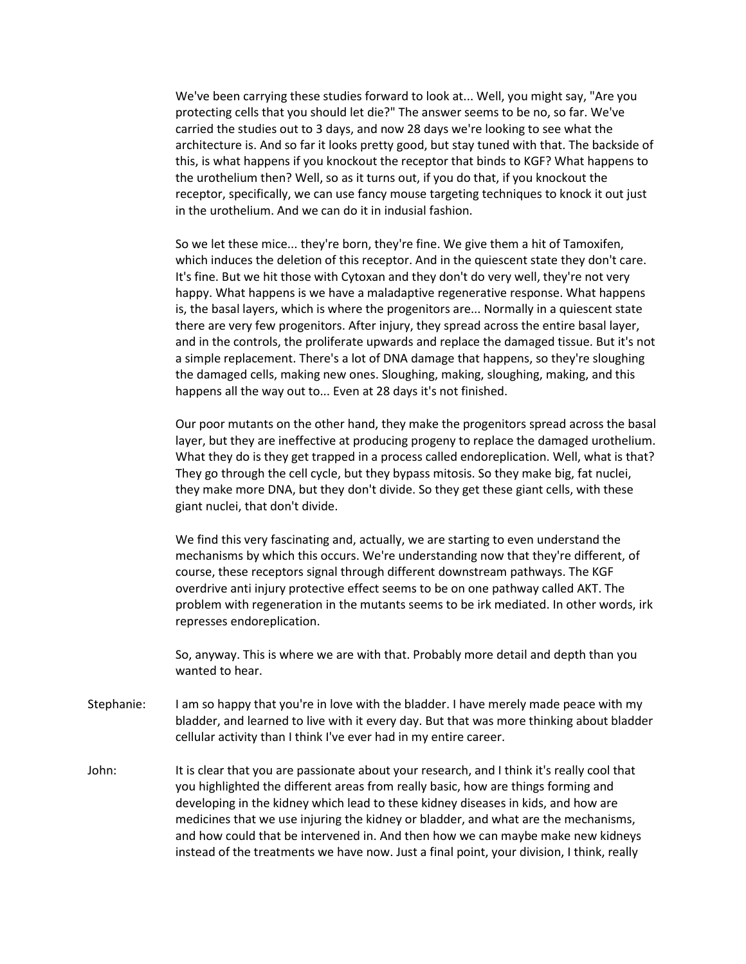We've been carrying these studies forward to look at... Well, you might say, "Are you protecting cells that you should let die?" The answer seems to be no, so far. We've carried the studies out to 3 days, and now 28 days we're looking to see what the architecture is. And so far it looks pretty good, but stay tuned with that. The backside of this, is what happens if you knockout the receptor that binds to KGF? What happens to the urothelium then? Well, so as it turns out, if you do that, if you knockout the receptor, specifically, we can use fancy mouse targeting techniques to knock it out just in the urothelium. And we can do it in indusial fashion.

So we let these mice... they're born, they're fine. We give them a hit of Tamoxifen, which induces the deletion of this receptor. And in the quiescent state they don't care. It's fine. But we hit those with Cytoxan and they don't do very well, they're not very happy. What happens is we have a maladaptive regenerative response. What happens is, the basal layers, which is where the progenitors are... Normally in a quiescent state there are very few progenitors. After injury, they spread across the entire basal layer, and in the controls, the proliferate upwards and replace the damaged tissue. But it's not a simple replacement. There's a lot of DNA damage that happens, so they're sloughing the damaged cells, making new ones. Sloughing, making, sloughing, making, and this happens all the way out to... Even at 28 days it's not finished.

Our poor mutants on the other hand, they make the progenitors spread across the basal layer, but they are ineffective at producing progeny to replace the damaged urothelium. What they do is they get trapped in a process called endoreplication. Well, what is that? They go through the cell cycle, but they bypass mitosis. So they make big, fat nuclei, they make more DNA, but they don't divide. So they get these giant cells, with these giant nuclei, that don't divide.

We find this very fascinating and, actually, we are starting to even understand the mechanisms by which this occurs. We're understanding now that they're different, of course, these receptors signal through different downstream pathways. The KGF overdrive anti injury protective effect seems to be on one pathway called AKT. The problem with regeneration in the mutants seems to be irk mediated. In other words, irk represses endoreplication.

So, anyway. This is where we are with that. Probably more detail and depth than you wanted to hear.

- Stephanie: I am so happy that you're in love with the bladder. I have merely made peace with my bladder, and learned to live with it every day. But that was more thinking about bladder cellular activity than I think I've ever had in my entire career.
- John: It is clear that you are passionate about your research, and I think it's really cool that you highlighted the different areas from really basic, how are things forming and developing in the kidney which lead to these kidney diseases in kids, and how are medicines that we use injuring the kidney or bladder, and what are the mechanisms, and how could that be intervened in. And then how we can maybe make new kidneys instead of the treatments we have now. Just a final point, your division, I think, really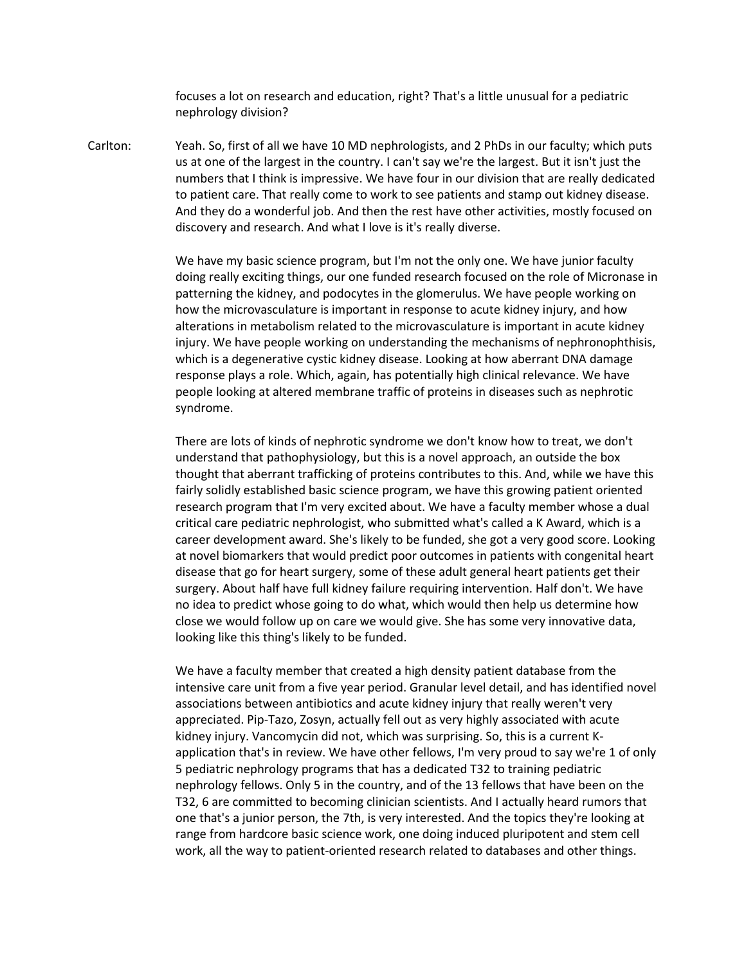focuses a lot on research and education, right? That's a little unusual for a pediatric nephrology division?

Carlton: Yeah. So, first of all we have 10 MD nephrologists, and 2 PhDs in our faculty; which puts us at one of the largest in the country. I can't say we're the largest. But it isn't just the numbers that I think is impressive. We have four in our division that are really dedicated to patient care. That really come to work to see patients and stamp out kidney disease. And they do a wonderful job. And then the rest have other activities, mostly focused on discovery and research. And what I love is it's really diverse.

> We have my basic science program, but I'm not the only one. We have junior faculty doing really exciting things, our one funded research focused on the role of Micronase in patterning the kidney, and podocytes in the glomerulus. We have people working on how the microvasculature is important in response to acute kidney injury, and how alterations in metabolism related to the microvasculature is important in acute kidney injury. We have people working on understanding the mechanisms of nephronophthisis, which is a degenerative cystic kidney disease. Looking at how aberrant DNA damage response plays a role. Which, again, has potentially high clinical relevance. We have people looking at altered membrane traffic of proteins in diseases such as nephrotic syndrome.

> There are lots of kinds of nephrotic syndrome we don't know how to treat, we don't understand that pathophysiology, but this is a novel approach, an outside the box thought that aberrant trafficking of proteins contributes to this. And, while we have this fairly solidly established basic science program, we have this growing patient oriented research program that I'm very excited about. We have a faculty member whose a dual critical care pediatric nephrologist, who submitted what's called a K Award, which is a career development award. She's likely to be funded, she got a very good score. Looking at novel biomarkers that would predict poor outcomes in patients with congenital heart disease that go for heart surgery, some of these adult general heart patients get their surgery. About half have full kidney failure requiring intervention. Half don't. We have no idea to predict whose going to do what, which would then help us determine how close we would follow up on care we would give. She has some very innovative data, looking like this thing's likely to be funded.

> We have a faculty member that created a high density patient database from the intensive care unit from a five year period. Granular level detail, and has identified novel associations between antibiotics and acute kidney injury that really weren't very appreciated. Pip-Tazo, Zosyn, actually fell out as very highly associated with acute kidney injury. Vancomycin did not, which was surprising. So, this is a current Kapplication that's in review. We have other fellows, I'm very proud to say we're 1 of only 5 pediatric nephrology programs that has a dedicated T32 to training pediatric nephrology fellows. Only 5 in the country, and of the 13 fellows that have been on the T32, 6 are committed to becoming clinician scientists. And I actually heard rumors that one that's a junior person, the 7th, is very interested. And the topics they're looking at range from hardcore basic science work, one doing induced pluripotent and stem cell work, all the way to patient-oriented research related to databases and other things.